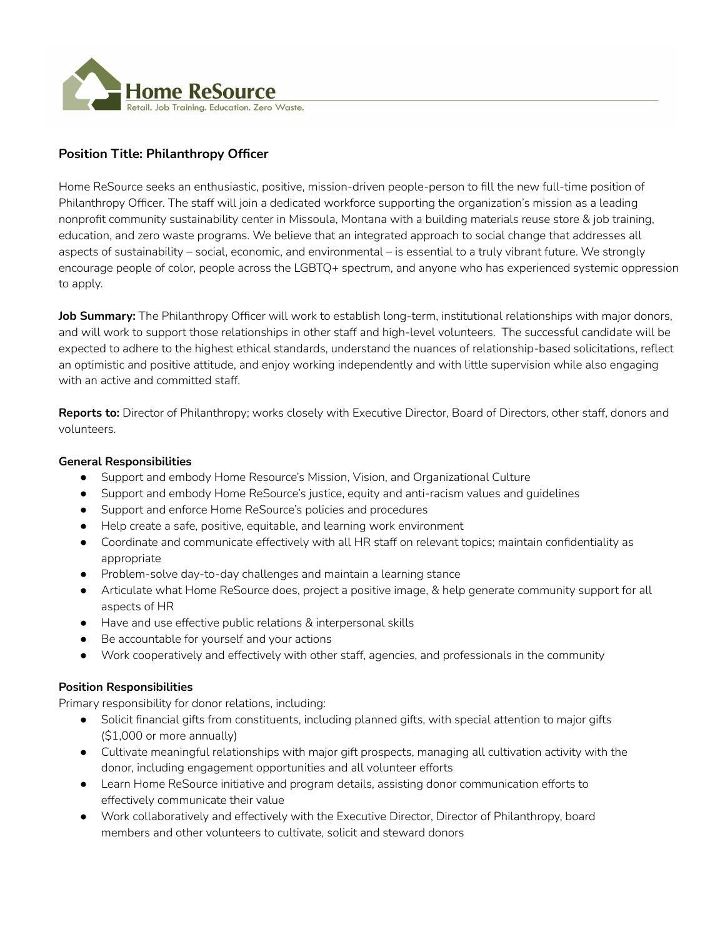

# **Position Title: Philanthropy Officer**

Home ReSource seeks an enthusiastic, positive, mission-driven people-person to fill the new full-time position of Philanthropy Officer. The staff will join a dedicated workforce supporting the organization's mission as a leading nonprofit community sustainability center in Missoula, Montana with a building materials reuse store & job training, education, and zero waste programs. We believe that an integrated approach to social change that addresses all aspects of sustainability – social, economic, and environmental – is essential to a truly vibrant future. We strongly encourage people of color, people across the LGBTQ+ spectrum, and anyone who has experienced systemic oppression to apply.

**Job Summary:** The Philanthropy Officer will work to establish long-term, institutional relationships with major donors, and will work to support those relationships in other staff and high-level volunteers. The successful candidate will be expected to adhere to the highest ethical standards, understand the nuances of relationship-based solicitations, reflect an optimistic and positive attitude, and enjoy working independently and with little supervision while also engaging with an active and committed staff.

**Reports to:** Director of Philanthropy; works closely with Executive Director, Board of Directors, other staff, donors and volunteers.

#### **General Responsibilities**

- Support and embody Home Resource's Mission, Vision, and Organizational Culture
- Support and embody Home ReSource's justice, equity and anti-racism values and guidelines
- Support and enforce Home ReSource's policies and procedures
- Help create a safe, positive, equitable, and learning work environment
- Coordinate and communicate effectively with all HR staff on relevant topics; maintain confidentiality as appropriate
- Problem-solve day-to-day challenges and maintain a learning stance
- Articulate what Home ReSource does, project a positive image, & help generate community support for all aspects of HR
- Have and use effective public relations & interpersonal skills
- Be accountable for yourself and your actions
- Work cooperatively and effectively with other staff, agencies, and professionals in the community

## **Position Responsibilities**

Primary responsibility for donor relations, including:

- Solicit financial gifts from constituents, including planned gifts, with special attention to major gifts (\$1,000 or more annually)
- Cultivate meaningful relationships with major gift prospects, managing all cultivation activity with the donor, including engagement opportunities and all volunteer efforts
- Learn Home ReSource initiative and program details, assisting donor communication efforts to effectively communicate their value
- Work collaboratively and effectively with the Executive Director, Director of Philanthropy, board members and other volunteers to cultivate, solicit and steward donors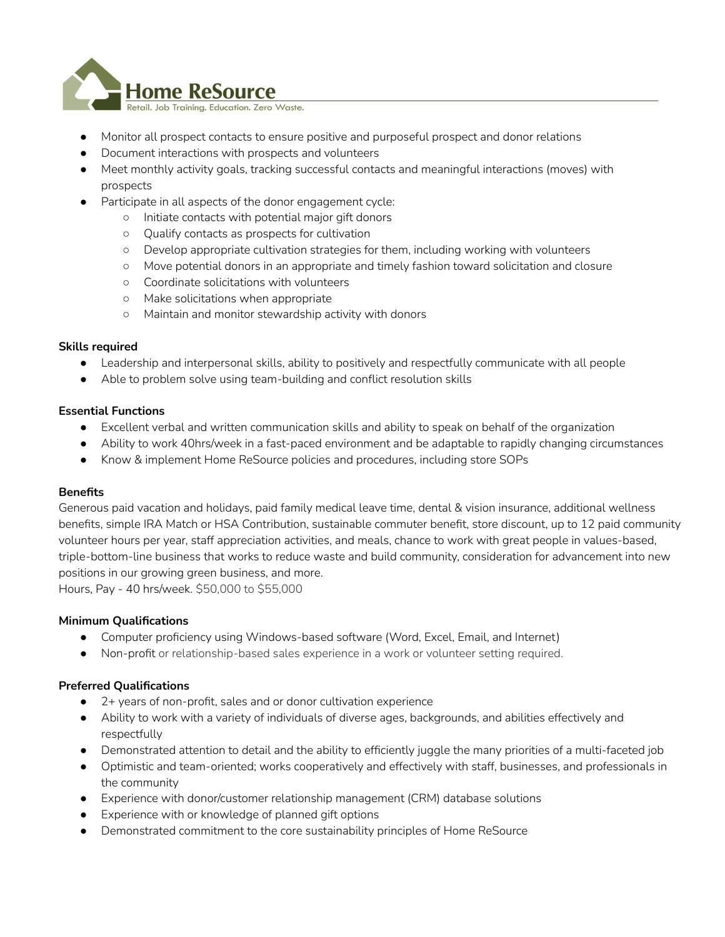

- Monitor all prospect contacts to ensure positive and purposeful prospect and donor relations
- Document interactions with prospects and volunteers
- Meet monthly activity goals, tracking successful contacts and meaningful interactions (moves) with prospects
- Participate in all aspects of the donor engagement cycle:
	- Initiate contacts with potential major gift donors
	- Qualify contacts as prospects for cultivation
	- Develop appropriate cultivation strategies for them, including working with volunteers
	- Move potential donors in an appropriate and timely fashion toward solicitation and closure
	- Coordinate solicitations with volunteers
	- Make solicitations when appropriate
	- Maintain and monitor stewardship activity with donors

## **Skills required**

- Leadership and interpersonal skills, ability to positively and respectfully communicate with all people
- Able to problem solve using team-building and conflict resolution skills

#### **Essential Functions**

- Excellent verbal and written communication skills and ability to speak on behalf of the organization
- Ability to work 40hrs/week in a fast-paced environment and be adaptable to rapidly changing circumstances
- Know & implement Home ReSource policies and procedures, including store SOPs

## **Benefits**

Generous paid vacation and holidays, paid family medical leave time, dental & vision insurance, additional wellness benefits, simple IRA Match or HSA Contribution, sustainable commuter benefit, store discount, up to 12 paid community volunteer hours per year, staff appreciation activities, and meals, chance to work with great people in values-based, triple-bottom-line business that works to reduce waste and build community, consideration for advancement into new positions in our growing green business, and more.

Hours, Pay - 40 hrs/week. \$50,000 to \$55,000

## **Minimum Qualifications**

- Computer proficiency using Windows-based software (Word, Excel, Email, and Internet)
- Non-profit or relationship-based sales experience in a work or volunteer setting required.

## **Preferred Qualifications**

- 2+ years of non-profit, sales and or donor cultivation experience
- Ability to work with a variety of individuals of diverse ages, backgrounds, and abilities effectively and respectfully
- Demonstrated attention to detail and the ability to efficiently juggle the many priorities of a multi-faceted job
- Optimistic and team-oriented; works cooperatively and effectively with staff, businesses, and professionals in the community
- Experience with donor/customer relationship management (CRM) database solutions
- Experience with or knowledge of planned gift options
- Demonstrated commitment to the core sustainability principles of Home ReSource